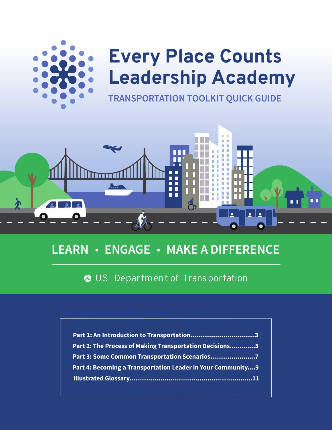

# **Every Place Counts Leadership Academy**

**TRANSPORTATION TOOLKIT QUICK GUIDE**



## **LEARN · ENGAGE · MAKE A DIFFERENCE**

U.S. Depar tment of Trans portation

| Part 1: An Introduction to Transportation3                   |
|--------------------------------------------------------------|
| Part 2: The Process of Making Transportation Decisions5      |
| Part 3: Some Common Transportation Scenarios7                |
| Part 4: Becoming a Transportation Leader in Your Community 9 |
|                                                              |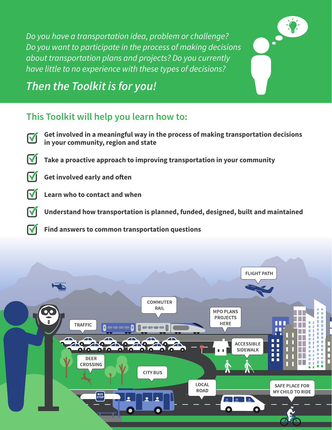*Do you have a transportation idea, problem or challenge? Do you want to participate in the process of making decisions about transportation plans and projects? Do you currently have little to no experience with these types of decisions?*



## *Then the Toolkit is for you!*

## **This Toolkit will help you learn how to:**

- **Get involved in a meaningful way in the process of making transportation decisions**  M **in your community, region and state**
- M **Take a proactive approach to improving transportation in your community**
	- **Get involved early and often**
	- **Learn who to contact and when**
	- **Understand how transportation is planned, funded, designed, built and maintained**
- **Find answers to common transportation questions**IМ

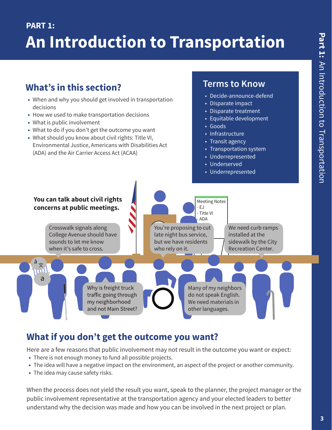## **PART 1: An Introduction to Transportation**

## **What's in this section?**

- When and why you should get involved in transportation decisions
- How we used to make transportation decisions
- What is public involvement
- What to do if you don't get the outcome you want
- What should you know about civil rights: Title VI, Environmental Justice, Americans with Disabilities Act (ADA) and the Air Carrier Access Act (ACAA)

#### **Terms to Know**

- Decide-announce-defend
- Disparate impact
- Disparate treatment
- Equitable development
- Goods
- Infrastructure
- Transit agency
- Transportation system
- Underrepresented
- Underserved
- Underrepresented



## **What if you don't get the outcome you want?**

Here are a few reasons that public involvement may not result in the outcome you want or expect:

- There is not enough money to fund all possible projects.
- The idea will have a negative impact on the environment, an aspect of the project or another community.
- The idea may cause safety risks.

When the process does not yield the result you want, speak to the planner, the project manager or the public involvement representative at the transportation agency and your elected leaders to better understand why the decision was made and how you can be involved in the next project or plan.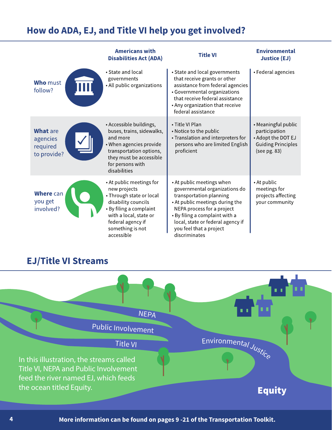## **How do ADA, EJ, and Title VI help you get involved?**

|                                                        | <b>Americans with</b><br><b>Disabilities Act (ADA)</b>                                                                                                                                                  | <b>Title VI</b>                                                                                                                                                                                                                                                           | <b>Environmental</b><br><b>Justice (EJ)</b>                                                             |
|--------------------------------------------------------|---------------------------------------------------------------------------------------------------------------------------------------------------------------------------------------------------------|---------------------------------------------------------------------------------------------------------------------------------------------------------------------------------------------------------------------------------------------------------------------------|---------------------------------------------------------------------------------------------------------|
| <b>Who</b> must<br>follow?                             | • State and local<br>governments<br>• All public organizations                                                                                                                                          | • State and local governments<br>that receive grants or other<br>assistance from federal agencies<br>• Governmental organizations<br>that receive federal assistance<br>• Any organization that receive<br>federal assistance                                             | • Federal agencies                                                                                      |
| <b>What</b> are<br>agencies<br>required<br>to provide? | • Accessible buildings,<br>buses, trains, sidewalks,<br>and more<br>• When agencies provide<br>transportation options,<br>they must be accessible<br>for persons with<br>disabilities                   | • Title VI Plan<br>• Notice to the public<br>• Translation and interpreters for<br>persons who are limited English<br>proficient                                                                                                                                          | • Meaningful public<br>participation<br>• Adopt the DOT EJ<br><b>Guiding Principles</b><br>(see pg. 83) |
| <b>Where</b> can<br>you get<br>involved?               | • At public meetings for<br>new projects<br>• Through state or local<br>disability councils<br>• By filing a complaint<br>with a local, state or<br>federal agency if<br>something is not<br>accessible | • At public meetings when<br>governmental organizations do<br>transportation planning<br>• At public meetings during the<br>NEPA process for a project<br>• By filing a complaint with a<br>local, state or federal agency if<br>you feel that a project<br>discriminates | • At public<br>meetings for<br>projects affecting<br>your community                                     |

## **EJ/Title VI Streams**

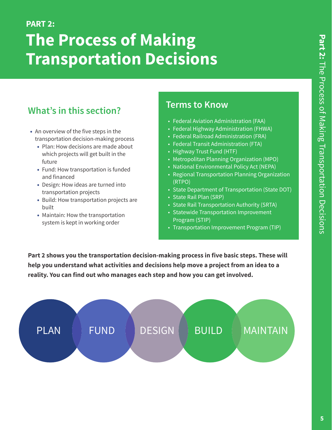## **PART 2: The Process of Making Transportation Decisions**

## **What's in this section?**

- An overview of the five steps in the transportation decision-making process
	- Plan: How decisions are made about which projects will get built in the future
	- Fund: How transportation is funded and financed
	- Design: How ideas are turned into transportation projects
	- Build: How transportation projects are built
	- Maintain: How the transportation system is kept in working order

## **Terms to Know**

- Federal Aviation Administration (FAA)
- Federal Highway Administration (FHWA)
- Federal Railroad Administration (FRA)
- Federal Transit Administration (FTA)
- Highway Trust Fund (HTF)
- Metropolitan Planning Organization (MPO)
- National Environmental Policy Act (NEPA)
- Regional Transportation Planning Organization (RTPO)
- State Department of Transportation (State DOT)
- State Rail Plan (SRP)
- State Rail Transportation Authority (SRTA)
- Statewide Transportation Improvement Program (STIP)
- Transportation Improvement Program (TIP)

**Part 2 shows you the transportation decision-making process in five basic steps. These will help you understand what activities and decisions help move a project from an idea to a reality. You can find out who manages each step and how you can get involved.**

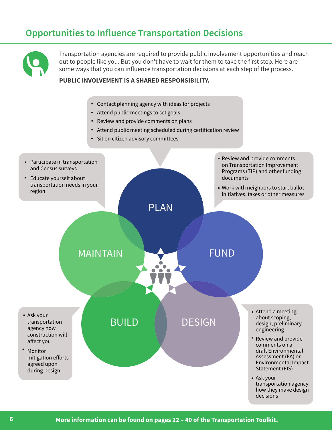## **Opportunities to Influence Transportation Decisions**



Transportation agencies are required to provide public involvement opportunities and reach out to people like you. But you don't have to wait for them to take the first step. Here are some ways that you can influence transportation decisions at each step of the process.

#### **PUBLIC INVOLVEMENT IS A SHARED RESPONSIBILITY.**



- Attend public meetings to set goals
- Review and provide comments on plans
- Attend public meeting scheduled during certification review
- Sit on citizen advisory committees

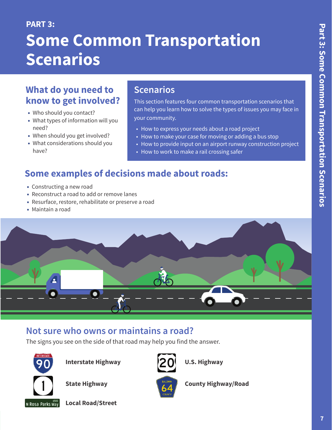## **PART 3: Some Common Transportation Scenarios**

## **What do you need to know to get involved?**

- Who should you contact?
- What types of information will you need?
- When should you get involved?
- What considerations should you have?

## **Scenarios**

This section features four common transportation scenarios that can help you learn how to solve the types of issues you may face in your community.

- How to express your needs about a road project
- How to make your case for moving or adding a bus stop
- How to provide input on an airport runway construction project
- How to work to make a rail crossing safer

## **Some examples of decisions made about roads:**

- Constructing a new road
- Reconstruct a road to add or remove lanes
- Resurface, restore, rehabilitate or preserve a road
- Maintain a road



## **Not sure who owns or maintains a road?**

The signs you see on the side of that road may help you find the answer.





**Interstate Highway U.S. Highway**



**State Highway County Highway/Road** 

**Local Road/Street**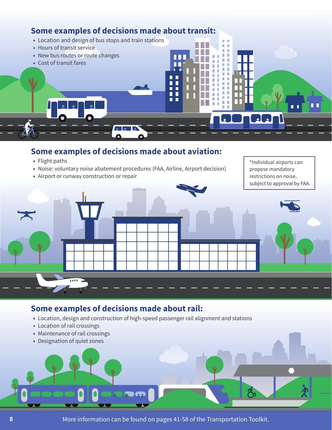

#### **Some examples of decisions made about aviation:**

- Flight paths
- Noise: voluntary noise abatement procedures (FAA, Airline, Airport decision)
- Airport or runway construction or repair

\*Individual airports can propose mandatory restrictions on noise, subject to approval by FAA.



#### **Some examples of decisions made about rail:**

- Location, design and construction of high-speed passenger rail alignment and stations
- Location of rail crossings
- Maintenance of rail crossings
- Designation of quiet zones

**8** More information can be found on pages 41-58 of the Transportation Toolkit.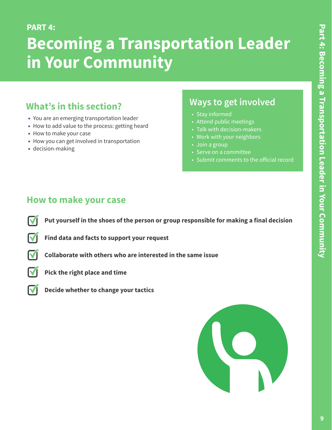#### **PART 4:**

# **Becoming a Transportation Leader in Your Community**

## **What's in this section?**

- You are an emerging transportation leader
- How to add value to the process: getting heard
- How to make your case
- How you can get involved in transportation
- decision-making

#### **Ways to get involved**

- Stay informed
- Attend public meetings
- Talk with decision-makers
- Work with your neighbors
- Join a group
- Serve on a committee
- Submit comments to the official record

### **How to make your case**

- **Put yourself in the shoes of the person or group responsible for making a final decision**
- **Find data and facts to support your request**
- **Collaborate with others who are interested in the same issue**
- **Pick the right place and time**
	- **Decide whether to change your tactics**

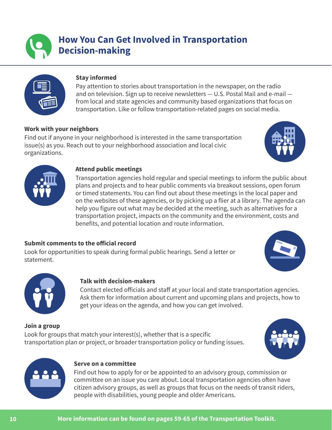

## **How You Can Get Involved in Transportation Decision-making**

| 冟 |  |
|---|--|

#### **Stay informed**

Pay attention to stories about transportation in the newspaper, on the radio and on television. Sign up to receive newsletters — U.S. Postal Mail and e-mail from local and state agencies and community based organizations that focus on transportation. Like or follow transportation-related pages on social media.

#### **Work with your neighbors**

Find out if anyone in your neighborhood is interested in the same transportation issue(s) as you. Reach out to your neighborhood association and local civic organizations.





#### **Attend public meetings**

Transportation agencies hold regular and special meetings to inform the public about plans and projects and to hear public comments via breakout sessions, open forum or timed statements. You can find out about these meetings in the local paper and on the websites of these agencies, or by picking up a flier at a library. The agenda can help you figure out what may be decided at the meeting, such as alternatives for a transportation project, impacts on the community and the environment, costs and benefits, and potential location and route information.

#### **Submit comments to the official record**

Look for opportunities to speak during formal public hearings. Send a letter or statement.





#### **Talk with decision-makers**

Contact elected officials and staff at your local and state transportation agencies. Ask them for information about current and upcoming plans and projects, how to get your ideas on the agenda, and how you can get involved.

#### **Join a group**

Look for groups that match your interest(s), whether that is a specific transportation plan or project, or broader transportation policy or funding issues.





#### **Serve on a committee**

Find out how to apply for or be appointed to an advisory group, commission or committee on an issue you care about. Local transportation agencies often have citizen advisory groups, as well as groups that focus on the needs of transit riders, people with disabilities, young people and older Americans.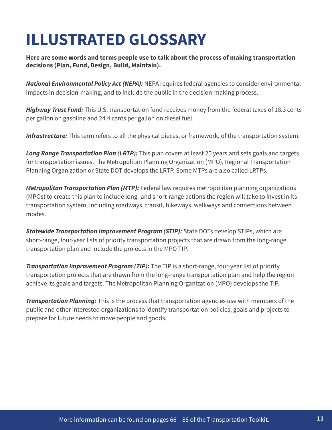# **ILLUSTRATED GLOSSARY**

**Here are some words and terms people use to talk about the process of making transportation decisions (Plan, Fund, Design, Build, Maintain).** 

*National Environmental Policy Act (NEPA):* NEPA requires federal agencies to consider environmental impacts in decision-making, and to include the public in the decision-making process.

*Highway Trust Fund:* This U.S. transportation fund receives money from the federal taxes of 18.3 cents per gallon on gasoline and 24.4 cents per gallon on diesel fuel.

*Infrastructure:* This term refers to all the physical pieces, or framework, of the transportation system.

*Long Range Transportation Plan (LRTP):* This plan covers at least 20 years and sets goals and targets for transportation issues. The Metropolitan Planning Organization (MPO), Regional Transportation Planning Organization or State DOT develops the LRTP. Some MTPs are also called LRTPs.

*Metropolitan Transportation Plan (MTP):* Federal law requires metropolitan planning organizations (MPOs) to create this plan to include long- and short-range actions the region will take to invest in its transportation system, including roadways, transit, bikeways, walkways and connections between modes.

*Statewide Transportation Improvement Program (STIP):* State DOTs develop STIPs, which are short-range, four-year lists of priority transportation projects that are drawn from the long-range transportation plan and include the projects in the MPO TIP.

*Transportation Improvement Program (TIP):* The TIP is a short-range, four-year list of priority transportation projects that are drawn from the long-range transportation plan and help the region achieve its goals and targets. The Metropolitan Planning Organization (MPO) develops the TIP.

*Transportation Planning:* This is the process that transportation agencies use with members of the public and other interested organizations to identify transportation policies, goals and projects to prepare for future needs to move people and goods.